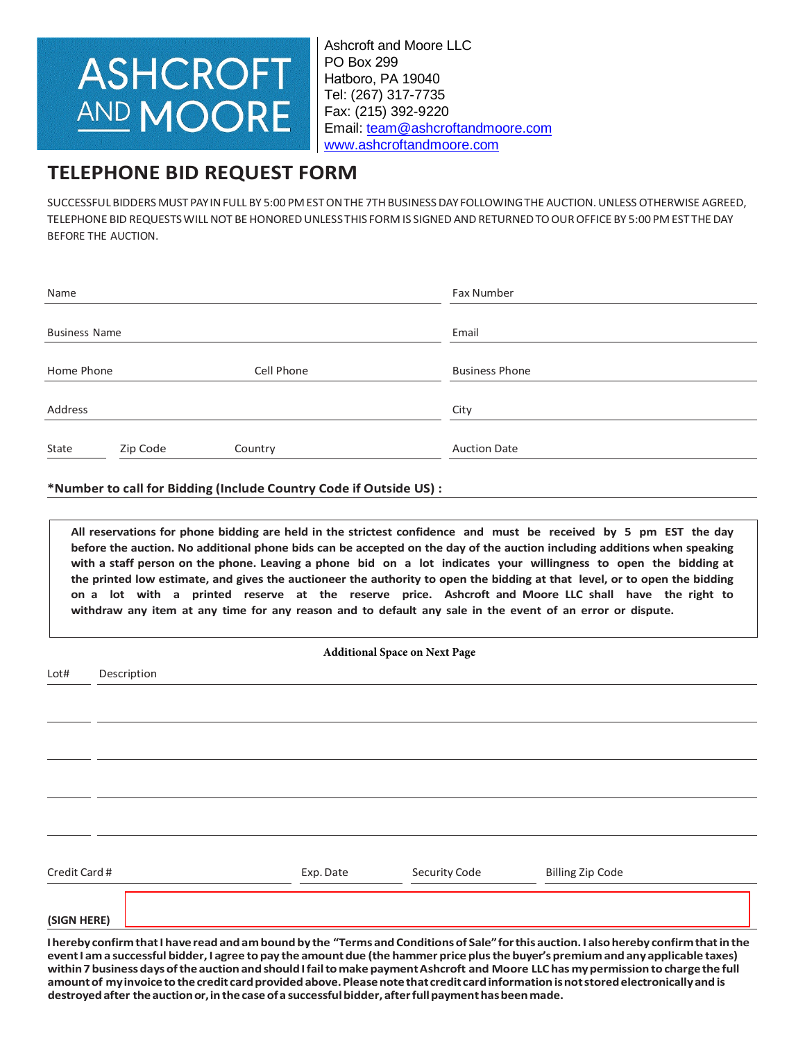## **ASHCROFT** AND MOORE

Ashcroft and Moore LLC PO Box 299 Hatboro, PA 19040 Tel: (267) 317-7735 Fax: (215) 392-9220 Email: [team@ashcroftandmoore.com](mailto:team@ashcroftandmoore.com) [www.ashcroftandmoore.com](http://www.ashcroftandmoore.com/)

## **TELEPHONE BID REQUEST FORM**

SUCCESSFUL BIDDERS MUST PAYIN FULL BY 5:00 PM EST ON THE 7TH BUSINESS DAY FOLLOWING THE AUCTION. UNLESS OTHERWISE AGREED. TELEPHONE BID REQUESTS WILL NOT BE HONORED UNLESS THIS FORM IS SIGNED AND RETURNED TO OUR OFFICE BY 5:00 PM EST THE DAY BEFORE THE AUCTION.

| Name                 |          |            | Fax Number            |  |
|----------------------|----------|------------|-----------------------|--|
| <b>Business Name</b> |          |            | Email                 |  |
|                      |          |            |                       |  |
| Home Phone           |          | Cell Phone | <b>Business Phone</b> |  |
| Address              |          |            | City                  |  |
| State                | Zip Code | Country    | <b>Auction Date</b>   |  |

## **\*Number to call for Bidding (Include Country Code if Outside US) :**

**All reservations for phone bidding are held in the strictest confidence and must be received by 5 pm EST the day before the auction. No additional phone bids can be accepted on the day of the auction including additions when speaking with a staff person on the phone. Leaving a phone bid on a lot indicates your willingness to open the bidding at the printed low estimate, and gives the auctioneer the authority to open the bidding at that level, or to open the bidding on a lot with a printed reserve at the reserve price. Ashcroft and Moore LLC shall have the right to**  withdraw any item at any time for any reason and to default any sale in the event of an error or dispute.

|               |             |           | <b>Additional Space on Next Page</b> |                                                                                                                                                                                                                                                                                                                                                                                                                       |  |
|---------------|-------------|-----------|--------------------------------------|-----------------------------------------------------------------------------------------------------------------------------------------------------------------------------------------------------------------------------------------------------------------------------------------------------------------------------------------------------------------------------------------------------------------------|--|
| Lot#          | Description |           |                                      |                                                                                                                                                                                                                                                                                                                                                                                                                       |  |
|               |             |           |                                      |                                                                                                                                                                                                                                                                                                                                                                                                                       |  |
|               |             |           |                                      |                                                                                                                                                                                                                                                                                                                                                                                                                       |  |
|               |             |           |                                      |                                                                                                                                                                                                                                                                                                                                                                                                                       |  |
|               |             |           |                                      |                                                                                                                                                                                                                                                                                                                                                                                                                       |  |
|               |             |           |                                      |                                                                                                                                                                                                                                                                                                                                                                                                                       |  |
|               |             |           |                                      |                                                                                                                                                                                                                                                                                                                                                                                                                       |  |
| Credit Card # |             | Exp. Date | Security Code                        | <b>Billing Zip Code</b>                                                                                                                                                                                                                                                                                                                                                                                               |  |
| (SIGN HERE)   |             |           |                                      |                                                                                                                                                                                                                                                                                                                                                                                                                       |  |
|               |             |           |                                      | I hereby confirm that I have read and am bound by the "Terms and Conditions of Sale" for this auction. I also hereby confirm that in the<br>event I am a successful bidder, I agree to pay the amount due (the hammer price plus the buyer's premium and any applicable taxes)<br>within 7 business days of the auction and should I fail to make payment Ashcroft and Moore LLC has my permission to charge the full |  |

**within 7 businessdaysoftheauctionandshould I failtomake paymentAshcroft and Moore LLC has mypermissiontochargethe full amountof myinvoicetothecredit cardprovidedabove.Pleasenotethat credit cardinformationisnotstoredelectronicallyandis destroyedafter theauctionor,inthecaseof a successfulbidder, afterfullpaymenthasbeenmade.**